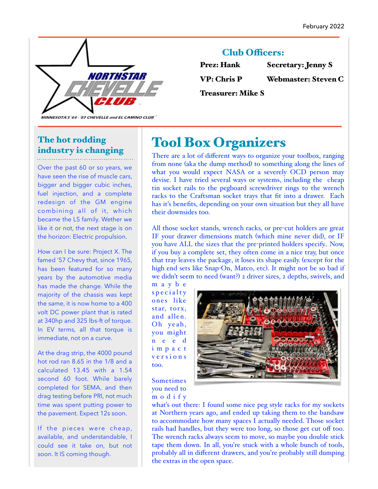

## **Club Officers:**

| <b>Prez: Hank</b>  | <b>Secretary: Jenny S</b>  |
|--------------------|----------------------------|
| <b>VP: Chris P</b> | <b>Webmaster: Steven C</b> |

Treasurer: Mike S

MINNESOTA'S '64 - '87 CHEVELLE and EL CAMINO CLUB"

## The hot rodding industry is changing

Over the past 60 or so years, we have seen the rise of muscle cars, bigger and bigger cubic inches, fuel injection, and a complete redesign of the GM engine combining all of it, which became the LS family. Wether we like it or not, the next stage is on the horizon: Electric propulsion.

How can I be sure: Project X. The famed '57 Chevy that, since 1965, has been featured for so many years by the automotive media has made the change. While the majority of the chassis was kept the same, it is now home to a 400 volt DC power plant that is rated at 340hp and 325 lbs-ft of torque. In EV terms, all that torque is immediate, not on a curve.

At the drag strip, the 4000 pound hot rod ran 8.65 in the 1/8 and a calculated 13.45 with a 1.54 second 60 foot. While barely completed for SEMA, and then drag testing before PRI, not much time was spent putting power to the pavement. Expect 12s soon.

If the pieces were cheap, available, and understandable, I could see it take on, but not soon. It IS coming though.

# Tool Box Organizers

There are a lot of different ways to organize your toolbox, ranging from none (aka the dump method) to something along the lines of what you would expect NASA or a severely OCD person may devise. I have tried several ways or systems, including the cheap tin socket rails to the pegboard screwdriver rings to the wrench racks to the Craftsman socket trays that fit into a drawer. Each has it's benefits, depending on your own situation but they all have their downsides too.

All those socket stands, wrench racks, or pre-cut holders are great IF your drawer dimensions match (which mine never did), or IF you have ALL the sizes that the pre-printed holders specify.. Now, if you buy a complete set, they often come in a nice tray, but once that tray leaves the package, it loses its shape easily. (except for the high end sets like Snap-On, Matco, etc). It might not be so bad if we didn't seem to need (want?) 2 driver sizes, 2 depths, swivels, and

m a y b e specialty ones like star, torx, and allen. Oh yeah, you might n e e d i m p a c t v e r s i o n s too.



Sometimes you need to m o d i f y

what's out there: I found some nice peg style racks for my sockets at Northern years ago, and ended up taking them to the bandsaw to accommodate how many spaces I actually needed. Those socket rails had handles, but they were too long, so those get cut off too. The wrench racks always seem to move, so maybe you double stick tape them down. In all, you're stuck with a whole bunch of tools, probably all in different drawers, and you're probably still dumping the extras in the open space.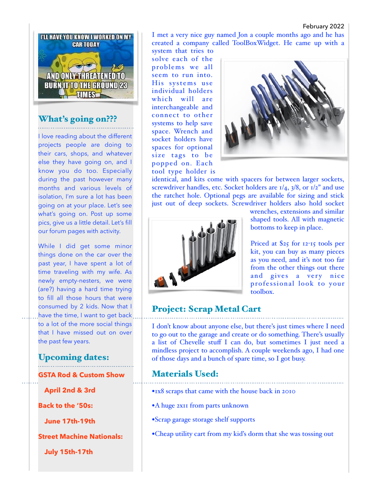#### February 2022



#### What's going on???

I love reading about the different projects people are doing to their cars, shops, and whatever else they have going on, and I know you do too. Especially during the past however many months and various levels of isolation, I'm sure a lot has been going on at your place. Let's see what's going on. Post up some pics, give us a little detail. Let's fill our forum pages with activity.

While I did get some minor things done on the car over the past year, I have spent a lot of time traveling with my wife. As newly empty-nesters, we were (are?) having a hard time trying to fill all those hours that were consumed by 2 kids. Now that I have the time, I want to get back to a lot of the more social things that I have missed out on over the past few years.

### Upcoming dates:

**GSTA Rod & Custom Show** 

 **April 2nd & 3rd** 

**Back to the '50s:** 

 **June 17th-19th** 

**Street Machine Nationals:** 

 **July 15th-17th** 

I met a very nice guy named Jon a couple months ago and he has created a company called ToolBoxWidget. He came up with a system that tries to

solve each of the problems we all seem to run into. His systems use individual holders which will are interchangeable and connect to other systems to help save space. Wrench and socket holders have spaces for optional size tags to be popped on. Each tool type holder is



identical, and kits come with spacers for between larger sockets, screwdriver handles, etc. Socket holders are  $1/4$ ,  $3/8$ , or  $1/2$ " and use the ratchet hole. Optional pegs are available for sizing and stick just out of deep sockets. Screwdriver holders also hold socket



wrenches, extensions and similar shaped tools. All with magnetic bottoms to keep in place.

Priced at \$25 for 12-15 tools per kit, you can buy as many pieces as you need, and it's not too far from the other things out there and gives a very nice professional look to your toolbox.

### Project: Scrap Metal Cart

I don't know about anyone else, but there's just times where I need to go out to the garage and create or do something. There's usually a list of Chevelle stuff I can do, but sometimes I just need a mindless project to accomplish. A couple weekends ago, I had one of those days and a bunch of spare time, so I got busy.

#### Materials Used:

- **•**1x8 scraps that came with the house back in 2010
- **•**A huge 2x11 from parts unknown
- **•**Scrap garage storage shelf supports
- **•**Cheap utility cart from my kid's dorm that she was tossing out